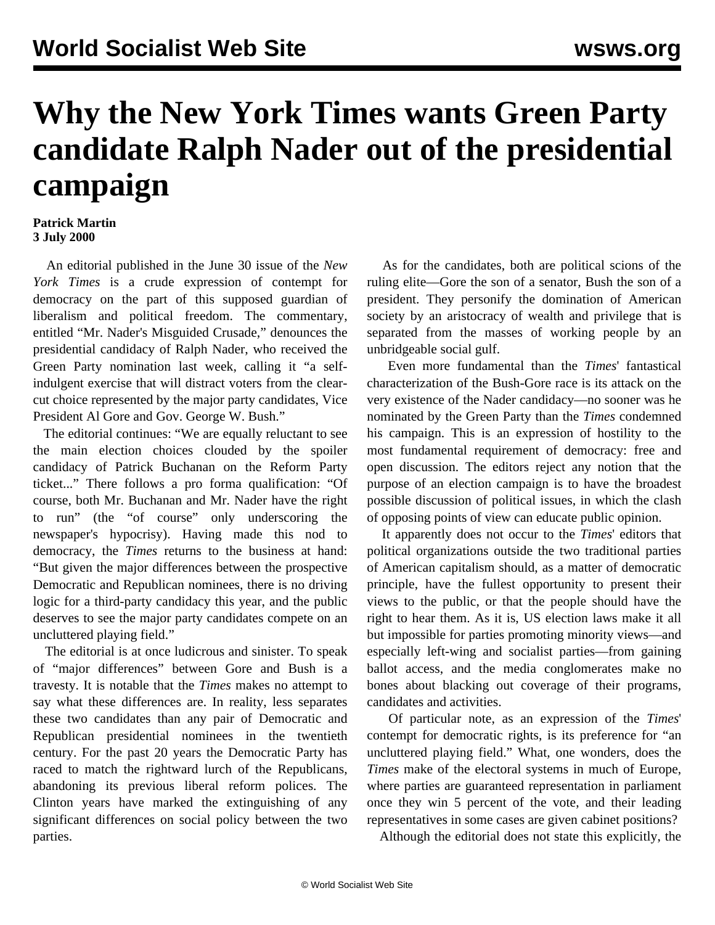## **Why the New York Times wants Green Party candidate Ralph Nader out of the presidential campaign**

## **Patrick Martin 3 July 2000**

 An editorial published in the June 30 issue of the *New York Times* is a crude expression of contempt for democracy on the part of this supposed guardian of liberalism and political freedom. The commentary, entitled "Mr. Nader's Misguided Crusade," denounces the presidential candidacy of Ralph Nader, who received the Green Party nomination last week, calling it "a selfindulgent exercise that will distract voters from the clearcut choice represented by the major party candidates, Vice President Al Gore and Gov. George W. Bush."

 The editorial continues: "We are equally reluctant to see the main election choices clouded by the spoiler candidacy of Patrick Buchanan on the Reform Party ticket..." There follows a pro forma qualification: "Of course, both Mr. Buchanan and Mr. Nader have the right to run" (the "of course" only underscoring the newspaper's hypocrisy). Having made this nod to democracy, the *Times* returns to the business at hand: "But given the major differences between the prospective Democratic and Republican nominees, there is no driving logic for a third-party candidacy this year, and the public deserves to see the major party candidates compete on an uncluttered playing field."

 The editorial is at once ludicrous and sinister. To speak of "major differences" between Gore and Bush is a travesty. It is notable that the *Times* makes no attempt to say what these differences are. In reality, less separates these two candidates than any pair of Democratic and Republican presidential nominees in the twentieth century. For the past 20 years the Democratic Party has raced to match the rightward lurch of the Republicans, abandoning its previous liberal reform polices. The Clinton years have marked the extinguishing of any significant differences on social policy between the two parties.

 As for the candidates, both are political scions of the ruling elite—Gore the son of a senator, Bush the son of a president. They personify the domination of American society by an aristocracy of wealth and privilege that is separated from the masses of working people by an unbridgeable social gulf.

 Even more fundamental than the *Times*' fantastical characterization of the Bush-Gore race is its attack on the very existence of the Nader candidacy—no sooner was he nominated by the Green Party than the *Times* condemned his campaign. This is an expression of hostility to the most fundamental requirement of democracy: free and open discussion. The editors reject any notion that the purpose of an election campaign is to have the broadest possible discussion of political issues, in which the clash of opposing points of view can educate public opinion.

 It apparently does not occur to the *Times*' editors that political organizations outside the two traditional parties of American capitalism should, as a matter of democratic principle, have the fullest opportunity to present their views to the public, or that the people should have the right to hear them. As it is, US election laws make it all but impossible for parties promoting minority views—and especially left-wing and socialist parties—from gaining ballot access, and the media conglomerates make no bones about blacking out coverage of their programs, candidates and activities.

 Of particular note, as an expression of the *Times*' contempt for democratic rights, is its preference for "an uncluttered playing field." What, one wonders, does the *Times* make of the electoral systems in much of Europe, where parties are guaranteed representation in parliament once they win 5 percent of the vote, and their leading representatives in some cases are given cabinet positions?

Although the editorial does not state this explicitly, the